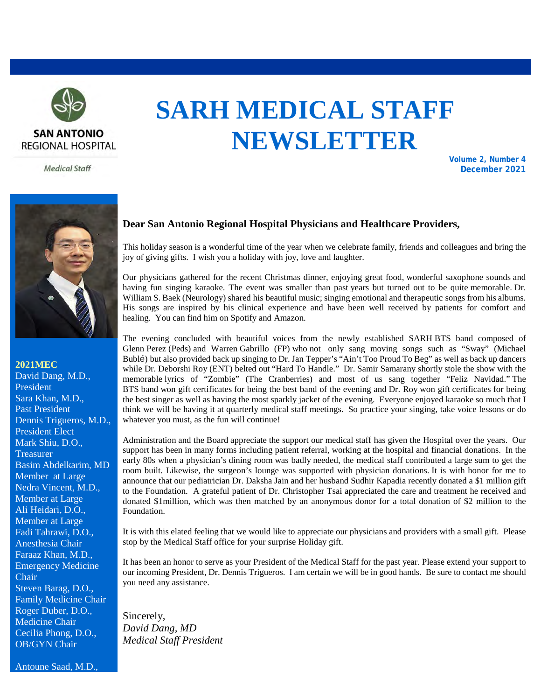

**Medical Staff** 

# **SARH MEDICAL STAFF NEWSLETTER**

**Volume 2, Number 4 December 2021**



**2021MEC** 

David Dang, M.D., President Sara Khan, M.D., Past President Dennis Trigueros, M.D., President Elect Mark Shiu, D.O., **Treasurer** Basim Abdelkarim, MD Member at Large Nedra Vincent, M.D., Member at Large Ali Heidari, D.O., Member at Large Fadi Tahrawi, D.O., Anesthesia Chair Faraaz Khan, M.D., Emergency Medicine Chair Steven Barag, D.O., Family Medicine Chair Roger Duber, D.O., Medicine Chair Cecilia Phong, D.O., OB/GYN Chair

#### **Dear San Antonio Regional Hospital Physicians and Healthcare Providers,**

This holiday season is a wonderful time of the year when we celebrate family, friends and colleagues and bring the joy of giving gifts. I wish you a holiday with joy, love and laughter.

Our physicians gathered for the recent Christmas dinner, enjoying great food, wonderful saxophone sounds and having fun singing karaoke. The event was smaller than past years but turned out to be quite memorable. Dr. William S. Baek (Neurology) shared his beautiful music; singing emotional and therapeutic songs from his albums. His songs are inspired by his clinical experience and have been well received by patients for comfort and healing. You can find him on Spotify and Amazon.

The evening concluded with beautiful voices from the newly established SARH BTS band composed of Glenn Perez (Peds) and Warren Gabrillo (FP) who not only sang moving songs such as "Sway" (Michael Bublé) but also provided back up singing to Dr. Jan Tepper's "Ain't Too Proud To Beg" as well as back up dancers while Dr. Deborshi Roy (ENT) belted out "Hard To Handle." Dr. Samir Samarany shortly stole the show with the memorable lyrics of "Zombie" (The Cranberries) and most of us sang together "Feliz Navidad." The BTS band won gift certificates for being the best band of the evening and Dr. Roy won gift certificates for being the best singer as well as having the most sparkly jacket of the evening. Everyone enjoyed karaoke so much that I think we will be having it at quarterly medical staff meetings. So practice your singing, take voice lessons or do whatever you must, as the fun will continue!

Administration and the Board appreciate the support our medical staff has given the Hospital over the years. Our support has been in many forms including patient referral, working at the hospital and financial donations. In the early 80s when a physician's dining room was badly needed, the medical staff contributed a large sum to get the room built. Likewise, the surgeon's lounge was supported with physician donations. It is with honor for me to announce that our pediatrician Dr. Daksha Jain and her husband Sudhir Kapadia recently donated a \$1 million gift to the Foundation. A grateful patient of Dr. Christopher Tsai appreciated the care and treatment he received and donated \$1million, which was then matched by an anonymous donor for a total donation of \$2 million to the Foundation.

It is with this elated feeling that we would like to appreciate our physicians and providers with a small gift. Please stop by the Medical Staff office for your surprise Holiday gift.

It has been an honor to serve as your President of the Medical Staff for the past year. Please extend your support to our incoming President, Dr. Dennis Trigueros. I am certain we will be in good hands. Be sure to contact me should you need any assistance.

Sincerely, *David Dang, MD Medical Staff President*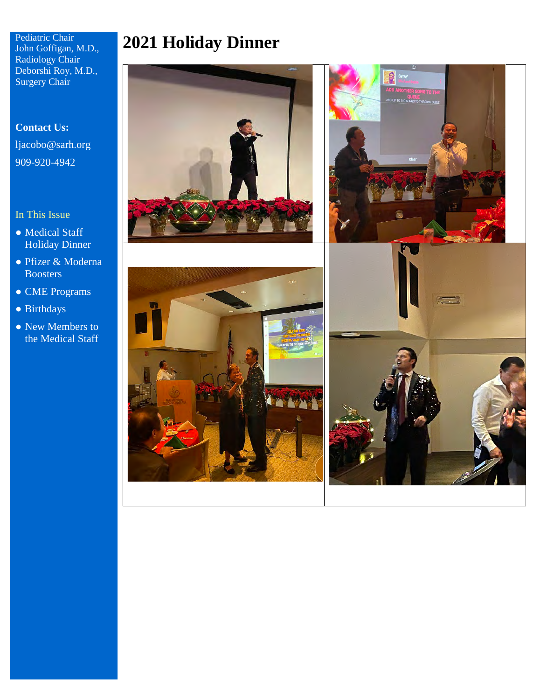Pediatric Chair John Goffigan, M.D., Radiology Chair Deborshi Roy, M.D., Surgery Chair

# **Contact Us:** [ljacobo@sarh.org](mailto:ljacobo@sarh.org) 909-920-4942

#### In This Issue

- Medical Staff Holiday Dinner
- Pfizer & Moderna **Boosters**
- CME Programs
- Birthdays
- New Members to the Medical Staff



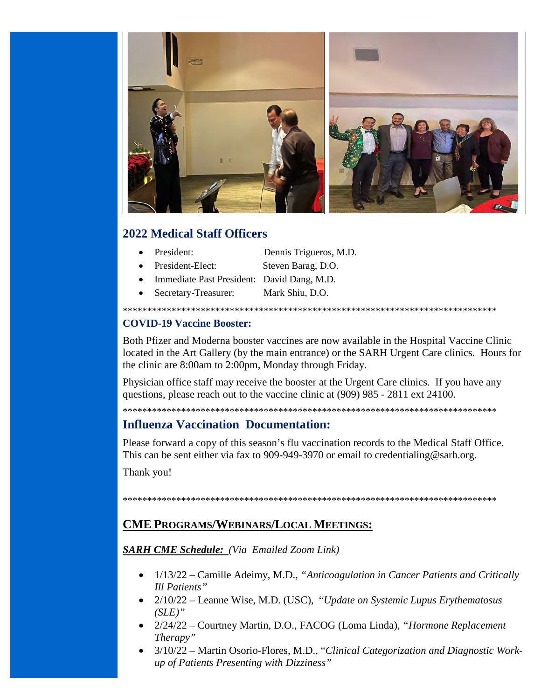

# **2022 Medical Staff Officers**

- President:
- President-Elect:
- Dennis Trigueros, M.D.
- Steven Barag, D.O.
- Immediate Past President: David Dang, M.D.
- Secretary-Treasurer: Mark Shiu, D.O.

### **COVID-19 Vaccine Booster:**

Both Pfizer and Moderna booster vaccines are now available in the Hospital Vaccine Clinic located in the Art Gallery (by the main entrance) or the SARH Urgent Care clinics. Hours for the clinic are 8:00am to 2:00pm, Monday through Friday.

Physician office staff may receive the booster at the Urgent Care clinics. If you have any questions, please reach out to the vaccine clinic at (909) 985 - 2811 ext 24100.

# **Influenza Vaccination Documentation:**

Please forward a copy of this season's flu vaccination records to the Medical Staff Office. This can be sent either via fax to 909-949-3970 or email to credentialing @sarh.org.

Thank you!

## **CME PROGRAMS/WEBINARS/LOCAL MEETINGS:**

#### **SARH CME Schedule:** (Via Emailed Zoom Link)

- 1/13/22 Camille Adeimy, M.D., "Anticoagulation in Cancer Patients and Critically Ill Patients"
- $2/10/22$  Leanne Wise, M.D. (USC), "Update on Systemic Lupus Erythematosus  $(SLE)$ "
- 2/24/22 Courtney Martin, D.O., FACOG (Loma Linda), "Hormone Replacement Therapy"
- 3/10/22 Martin Osorio-Flores, M.D., "Clinical Categorization and Diagnostic Workup of Patients Presenting with Dizziness"